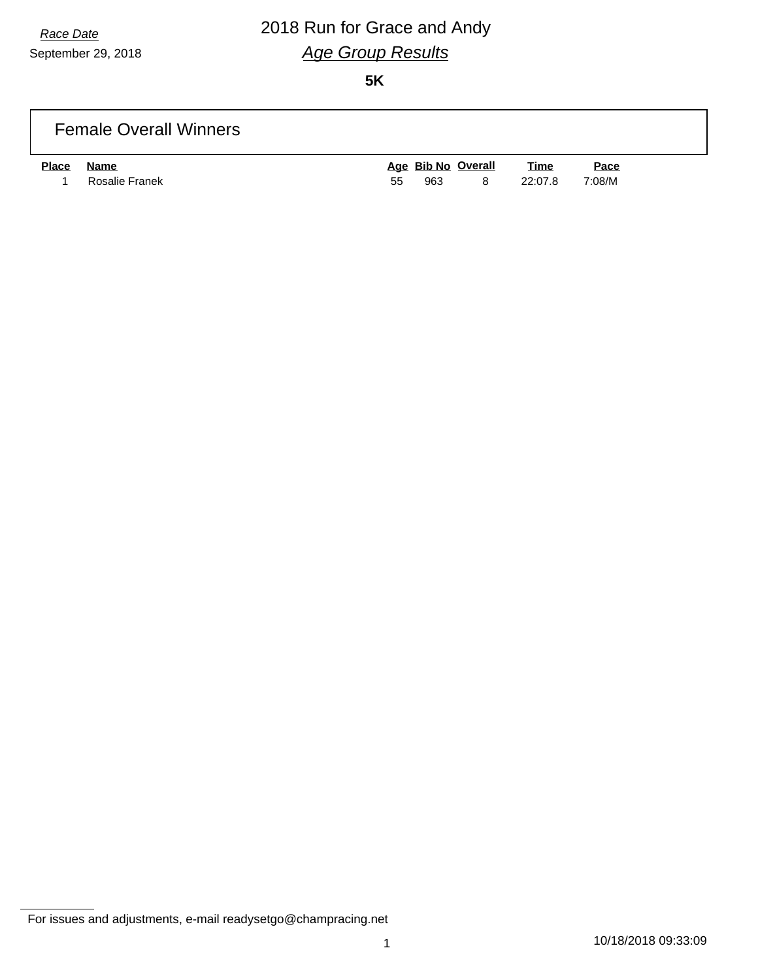# *Race Date* 2018 Run for Grace and Andy *Age Group Results*

**5K**

### Female Overall Winners

| <b>Place</b> | Name           |    |     | Age Bib No Overall | <b>Time</b> | <u>Pace</u> |
|--------------|----------------|----|-----|--------------------|-------------|-------------|
|              | Rosalie Franek | 55 | 963 | - 8                | 22:07.8     | 7:08/M      |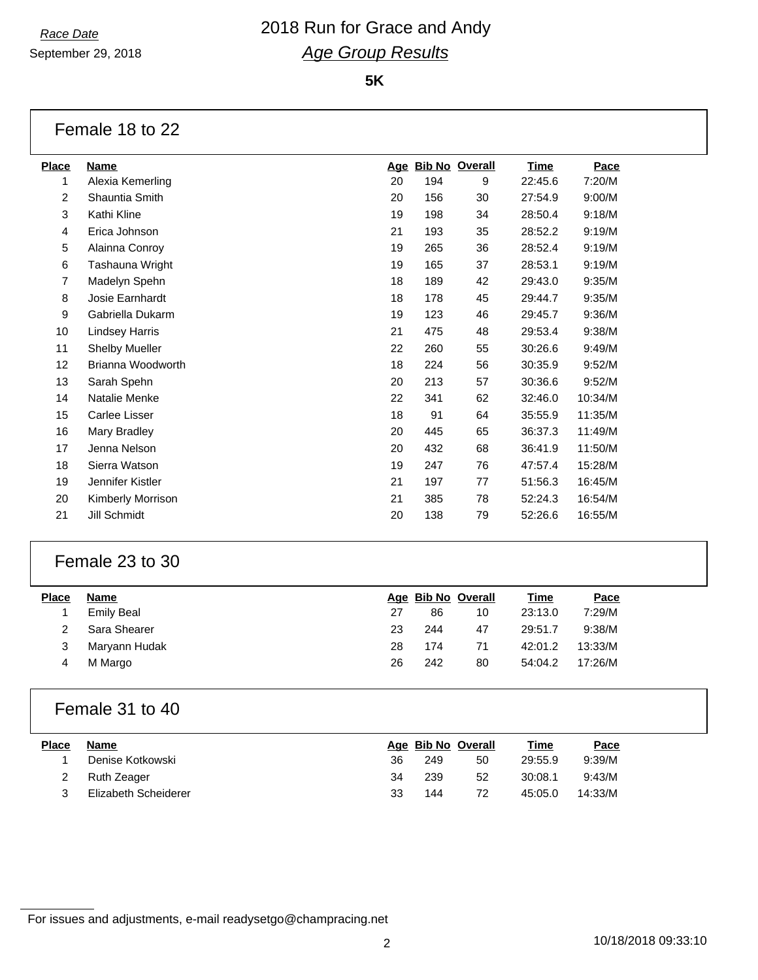September 29, 2018

# *Race Date* 2018 Run for Grace and Andy *Age Group Results*

#### **5K**

### Female 18 to 22

| <b>Place</b>   | <b>Name</b>           |    | Age Bib No Overall |    | Time    | Pace    |
|----------------|-----------------------|----|--------------------|----|---------|---------|
| 1              | Alexia Kemerling      | 20 | 194                | 9  | 22:45.6 | 7:20/M  |
| $\overline{c}$ | Shauntia Smith        | 20 | 156                | 30 | 27:54.9 | 9:00/M  |
| 3              | Kathi Kline           | 19 | 198                | 34 | 28:50.4 | 9:18/M  |
| 4              | Erica Johnson         | 21 | 193                | 35 | 28:52.2 | 9:19/M  |
| 5              | Alainna Conroy        | 19 | 265                | 36 | 28:52.4 | 9:19/M  |
| 6              | Tashauna Wright       | 19 | 165                | 37 | 28:53.1 | 9:19/M  |
| 7              | Madelyn Spehn         | 18 | 189                | 42 | 29:43.0 | 9:35/M  |
| 8              | Josie Earnhardt       | 18 | 178                | 45 | 29:44.7 | 9:35/M  |
| 9              | Gabriella Dukarm      | 19 | 123                | 46 | 29:45.7 | 9:36/M  |
| 10             | Lindsey Harris        | 21 | 475                | 48 | 29:53.4 | 9:38/M  |
| 11             | <b>Shelby Mueller</b> | 22 | 260                | 55 | 30:26.6 | 9:49/M  |
| 12             | Brianna Woodworth     | 18 | 224                | 56 | 30:35.9 | 9:52/M  |
| 13             | Sarah Spehn           | 20 | 213                | 57 | 30:36.6 | 9:52/M  |
| 14             | Natalie Menke         | 22 | 341                | 62 | 32:46.0 | 10:34/M |
| 15             | Carlee Lisser         | 18 | 91                 | 64 | 35:55.9 | 11:35/M |
| 16             | Mary Bradley          | 20 | 445                | 65 | 36:37.3 | 11:49/M |
| 17             | Jenna Nelson          | 20 | 432                | 68 | 36:41.9 | 11:50/M |
| 18             | Sierra Watson         | 19 | 247                | 76 | 47:57.4 | 15:28/M |
| 19             | Jennifer Kistler      | 21 | 197                | 77 | 51:56.3 | 16:45/M |
| 20             | Kimberly Morrison     | 21 | 385                | 78 | 52:24.3 | 16:54/M |
| 21             | Jill Schmidt          | 20 | 138                | 79 | 52:26.6 | 16:55/M |
|                |                       |    |                    |    |         |         |

### Female 23 to 30

| <b>Place</b> | Name              |    |     | Age Bib No Overall | <u>Time</u> | <b>Pace</b> |  |
|--------------|-------------------|----|-----|--------------------|-------------|-------------|--|
|              | <b>Emily Beal</b> | 27 | 86  | 10                 | 23:13.0     | 7:29/M      |  |
|              | Sara Shearer      | 23 | 244 | 47                 | 29:51.7     | 9:38/M      |  |
|              | Maryann Hudak     | 28 | 174 | 71                 | 42:01.2     | 13:33/M     |  |
|              | M Margo           | 26 | 242 | 80                 | 54:04.2     | 17:26/M     |  |
|              |                   |    |     |                    |             |             |  |

### Female 31 to 40

| Place | Name                 |    |     | Age Bib No Overall | <u>Time</u> | <u>Pace</u> |
|-------|----------------------|----|-----|--------------------|-------------|-------------|
|       | Denise Kotkowski     | 36 | 249 | 50                 | 29:55.9     | 9:39/M      |
|       | Ruth Zeager          | 34 | 239 | 52                 | 30:08.1     | 9:43/M      |
|       | Elizabeth Scheiderer | 33 | 144 | 72                 | 45:05.0     | 14:33/M     |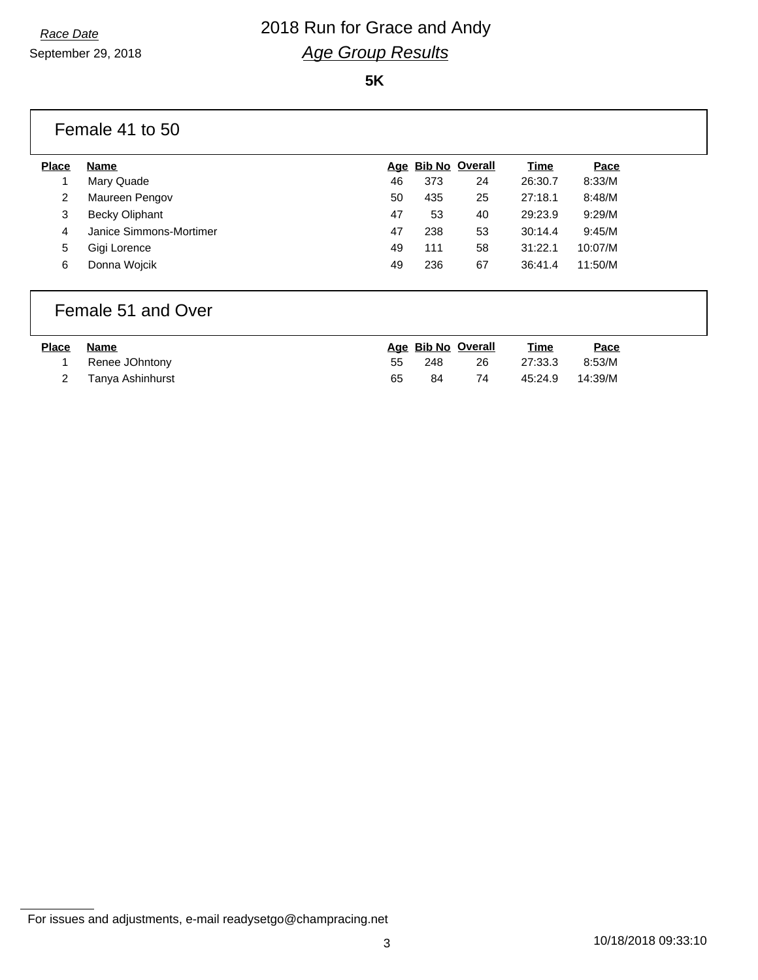## *Race Date* 2018 Run for Grace and Andy *Age Group Results*

#### **5K**

### Female 41 to 50

| <b>Place</b> | Name                    |    |     | Age Bib No Overall | Time    | Pace    |
|--------------|-------------------------|----|-----|--------------------|---------|---------|
|              | Mary Quade              | 46 | 373 | 24                 | 26:30.7 | 8:33/M  |
| 2            | Maureen Pengov          | 50 | 435 | 25                 | 27:18.1 | 8:48/M  |
| 3            | <b>Becky Oliphant</b>   | 47 | 53  | 40                 | 29:23.9 | 9:29/M  |
|              | Janice Simmons-Mortimer | 47 | 238 | 53                 | 30:14.4 | 9:45/M  |
| 5            | Gigi Lorence            | 49 | 111 | 58                 | 31:22.1 | 10:07/M |
| 6            | Donna Wojcik            | 49 | 236 | 67                 | 36:41.4 | 11:50/M |
|              |                         |    |     |                    |         |         |

### Female 51 and Over

| <b>Place</b> | Name               |    |     | Age Bib No Overall | <b>Time</b> | <u>Pace</u> |
|--------------|--------------------|----|-----|--------------------|-------------|-------------|
|              | Renee JOhntony     | 55 | 248 | 26                 | 27:33.3     | 8:53/M      |
|              | 2 Tanya Ashinhurst | 65 | 84  | 74                 | 45:24.9     | 14:39/M     |

For issues and adjustments, e-mail readysetgo@champracing.net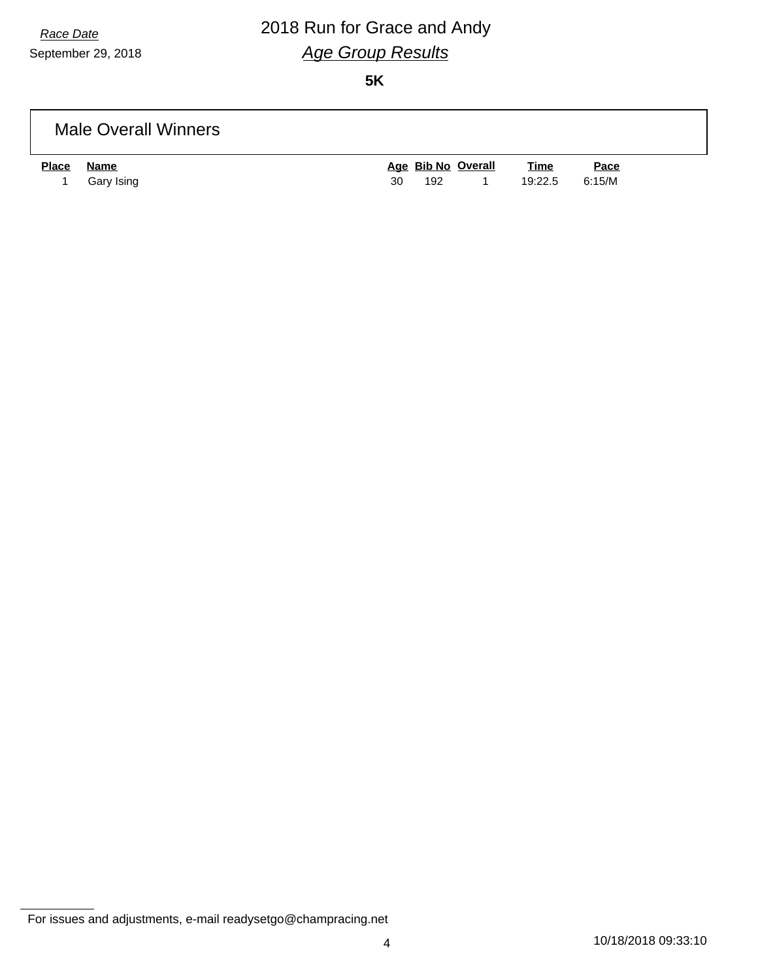# *Race Date* 2018 Run for Grace and Andy *Age Group Results*

**5K**

### Male Overall Winners

| <b>Place</b> | Name         |     | Age Bib No Overall | <u>Time</u>    | <u>Pace</u> |
|--------------|--------------|-----|--------------------|----------------|-------------|
|              | 1 Gary Ising | 192 | $\overline{1}$     | 19:22.5 6:15/M |             |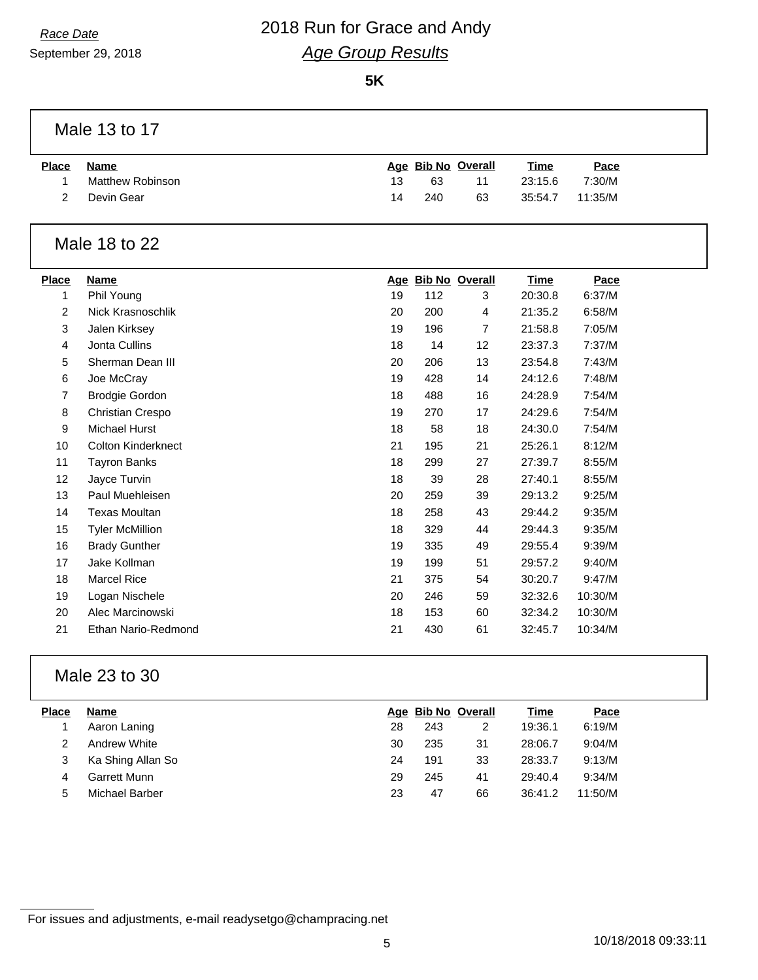## *Race Date* 2018 Run for Grace and Andy *Age Group Results*

**5K**

### Male 13 to 17

| <b>Place</b> | Name             |    |     | Age Bib No Overall | <u>Time</u>     | <u>Pace</u> |
|--------------|------------------|----|-----|--------------------|-----------------|-------------|
|              | Matthew Robinson | 13 | 63  | 11                 | 23:15.6         | 7:30/M      |
|              | Devin Gear       | 14 | 240 | 63                 | 35:54.7 11:35/M |             |

### Male 18 to 22

| <b>Place</b>   | Name                      |    | Age Bib No Overall |    | <b>Time</b> | Pace    |
|----------------|---------------------------|----|--------------------|----|-------------|---------|
| 1              | Phil Young                | 19 | 112                | 3  | 20:30.8     | 6:37/M  |
| $\overline{2}$ | Nick Krasnoschlik         | 20 | 200                | 4  | 21:35.2     | 6:58/M  |
| 3              | Jalen Kirksey             | 19 | 196                | 7  | 21:58.8     | 7:05/M  |
| 4              | Jonta Cullins             | 18 | 14                 | 12 | 23:37.3     | 7:37/M  |
| 5              | Sherman Dean III          | 20 | 206                | 13 | 23:54.8     | 7:43/M  |
| 6              | Joe McCray                | 19 | 428                | 14 | 24:12.6     | 7:48/M  |
| 7              | <b>Brodgie Gordon</b>     | 18 | 488                | 16 | 24:28.9     | 7:54/M  |
| 8              | <b>Christian Crespo</b>   | 19 | 270                | 17 | 24:29.6     | 7:54/M  |
| 9              | Michael Hurst             | 18 | 58                 | 18 | 24:30.0     | 7:54/M  |
| 10             | <b>Colton Kinderknect</b> | 21 | 195                | 21 | 25:26.1     | 8:12/M  |
| 11             | <b>Tayron Banks</b>       | 18 | 299                | 27 | 27:39.7     | 8:55/M  |
| 12             | Jayce Turvin              | 18 | 39                 | 28 | 27:40.1     | 8:55/M  |
| 13             | Paul Muehleisen           | 20 | 259                | 39 | 29:13.2     | 9:25/M  |
| 14             | <b>Texas Moultan</b>      | 18 | 258                | 43 | 29:44.2     | 9:35/M  |
| 15             | <b>Tyler McMillion</b>    | 18 | 329                | 44 | 29:44.3     | 9:35/M  |
| 16             | <b>Brady Gunther</b>      | 19 | 335                | 49 | 29:55.4     | 9:39/M  |
| 17             | Jake Kollman              | 19 | 199                | 51 | 29:57.2     | 9:40/M  |
| 18             | <b>Marcel Rice</b>        | 21 | 375                | 54 | 30:20.7     | 9:47/M  |
| 19             | Logan Nischele            | 20 | 246                | 59 | 32:32.6     | 10:30/M |
| 20             | Alec Marcinowski          | 18 | 153                | 60 | 32:34.2     | 10:30/M |
| 21             | Ethan Nario-Redmond       | 21 | 430                | 61 | 32:45.7     | 10:34/M |

### Male 23 to 30

| Place | Name              |    |     | Age Bib No Overall | Time    | Pace    |  |
|-------|-------------------|----|-----|--------------------|---------|---------|--|
|       | Aaron Laning      | 28 | 243 |                    | 19:36.1 | 6:19/M  |  |
|       | Andrew White      | 30 | 235 | 31                 | 28:06.7 | 9:04/M  |  |
|       | Ka Shing Allan So | 24 | 191 | 33                 | 28:33.7 | 9:13/M  |  |
| 4     | Garrett Munn      | 29 | 245 | 41                 | 29:40.4 | 9:34/M  |  |
| 5     | Michael Barber    | 23 | 47  | 66                 | 36:41.2 | 11:50/M |  |